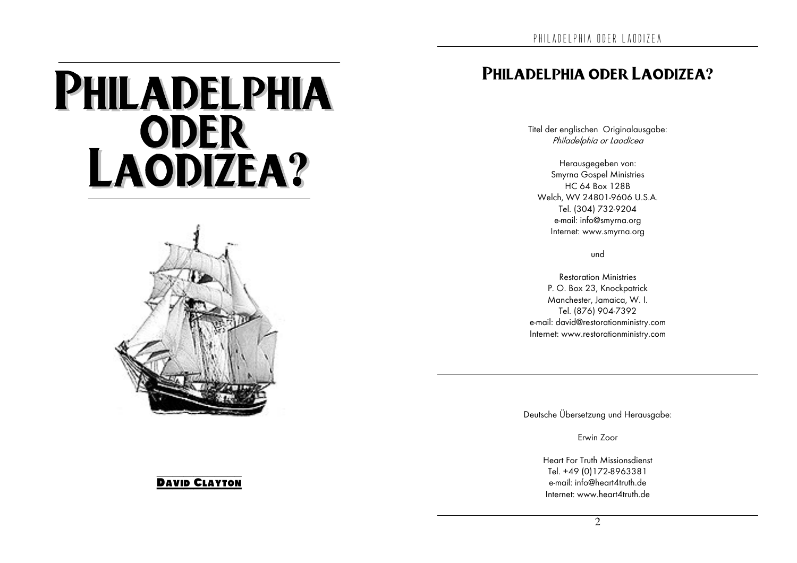# PHILADELPHIA **LAODER**<br>LAODIZEA?



#### **DAVID CLAYTON**

### PHILADELPHIA ODER LAODIZEA?

Titel der englischen Originalausgabe: Philadelphia or Laodicea

Herausgegeben von: **Smyrna Gospel Ministries** HC 64 Box 128B Welch. WV 24801-9606 U.S.A. Tel. (304) 732-9204 e-mail: info@smyrna.org Internet: www.smyrna.org

und

**Restoration Ministries** P. O. Box 23, Knockpatrick Manchester, Jamaica, W. I. Tel. (876) 904-7392 e-mail: david@restorationministry.com Internet: www.restorationministry.com

Deutsche Übersetzung und Herausgabe:

Frwin Zoor

Heart For Truth Missionsdienst Tel +49 (0) 172-8963381 e-mail: info@heart4truth.de Internet: www.heart $\Delta$ truth.de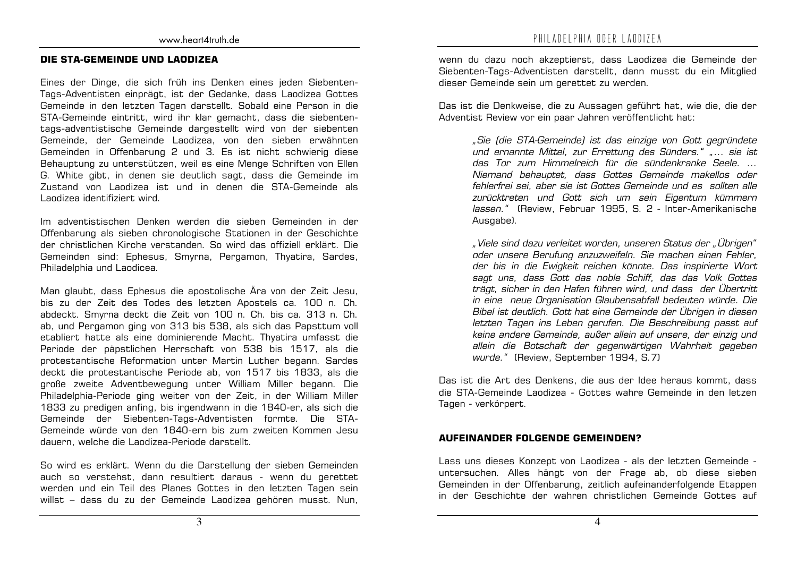#### DIE STA-GEMEINDE UND LAODIZEA

Eines der Dinge, die sich früh ins Denken eines jeden Siebenten-Tags-Adventisten einprägt, ist der Gedanke, dass Laodizea Gottes Gemeinde in den letzten Tagen darstellt. Sobald eine Person in die STA-Gemeinde eintritt, wird ihr klar gemacht, dass die siebententags-adventistische Gemeinde dargestellt wird von der siebenten Gemeinde, der Gemeinde Laodizea, von den sieben erwähnten Gemeinden in Offenbarung 2 und 3. Es ist nicht schwierig diese Behauptung zu unterstützen, weil es eine Menge Schriften von Ellen G. White gibt, in denen sie deutlich sagt, dass die Gemeinde im Zustand von Laodizea ist und in denen die STA-Gemeinde als Landizea identifiziert wird.

Im adventistischen Denken werden die sieben Gemeinden in der Offenbarung als sieben chronologische Stationen in der Geschichte der christlichen Kirche verstanden. So wird das offiziell erklärt. Die Gemeinden sind: Ephesus, Smyrna, Pergamon, Thyatira, Sardes, Philadelphia und Laodicea.

Man glaubt, dass Ephesus die apostolische Ära von der Zeit Jesu, bis zu der Zeit des Todes des letzten Apostels ca. 100 n. Ch. abdeckt. Smyrna deckt die Zeit von 100 n. Ch. bis ca. 313 n. Ch. ab, und Pergamon ging von 313 bis 538, als sich das Papsttum voll etabliert hatte als eine dominierende Macht. Thyatira umfasst die Periode der päpstlichen Herrschaft von 538 bis 1517, als die protestantische Reformation unter Martin Luther begann. Sardes deckt die protestantische Periode ab, von 1517 bis 1833, als die große zweite Adventbewegung unter William Miller begann. Die Philadelphia-Periode ging weiter von der Zeit, in der William Miller 1833 zu predigen anfing, bis irgendwann in die 1840-er, als sich die Gemeinde der Siebenten-Tags-Adventisten formte. Die STA-Gemeinde würde von den 1840-ern bis zum zweiten Kommen Jesu dauern, welche die Landizea-Periode darstellt.

So wird es erklärt. Wenn du die Darstellung der sieben Gemeinden auch so verstehst, dann resultiert daraus - wenn du gerettet werden und ein Teil des Planes Gottes in den letzten Tagen sein willst - dass du zu der Gemeinde Laodizea gehören musst. Nun,

wenn du dazu noch akzeptierst, dass Laodizea die Gemeinde der Siebenten-Tags-Adventisten darstellt, dann musst du ein Mitglied dieser Gemeinde sein um gerettet zu werden.

Das ist die Denkweise, die zu Aussagen geführt hat, wie die, die der Adventist Review vor ein paar Jahren veröffentlicht hat:

> "Sie (die STA-Gemeinde) ist das einzige von Gott gegründete und ernannte Mittel, zur Errettung des Sünders." "... sie ist das Tor zum Himmelreich für die sündenkranke Seele. ... Niemand behauptet, dass Gottes Gemeinde makellos oder fehlerfrei sei, aber sie ist Gottes Gemeinde und es sollten alle zurücktreten und Gott sich um sein Eigentum kümmern Jassen." (Review, Februar 1995, S. 2 - Inter-Amerikanische Ausgabe).

> "Viele sind dazu verleitet worden, unseren Status der "Übrigen" oder unsere Berufung anzuzweifeln. Sie machen einen Fehler, der bis in die Ewigkeit reichen könnte. Das inspirierte Wort sagt uns, dass Gott das noble Schiff, das das Volk Gottes trägt, sicher in den Hafen führen wird, und dass der Übertritt in eine neue Organisation Glaubensabfall bedeuten würde. Die Bibel ist deutlich. Gott hat eine Gemeinde der Übrigen in diesen letzten Tagen ins Leben gerufen. Die Beschreibung passt auf keine andere Gemeinde, außer allein auf unsere, der einzig und allein die Botschaft der gegenwärtigen Wahrheit gegeben wurde." (Review, September 1994, S.7)

Das ist die Art des Denkens, die aus der Idee heraus kommt, dass die STA-Gemeinde Landizea - Gottes wahre Gemeinde in den letzen Tagen - verkörpert.

#### **AUFEINANDER FOLGENDE GEMEINDEN?**

Lass uns dieses Konzept von Laodizea - als der letzten Gemeinde untersuchen. Alles hängt von der Frage ab, ob diese sieben Gemeinden in der Offenbarung, zeitlich aufeinanderfolgende Etappen in der Geschichte der wahren christlichen Gemeinde Gottes auf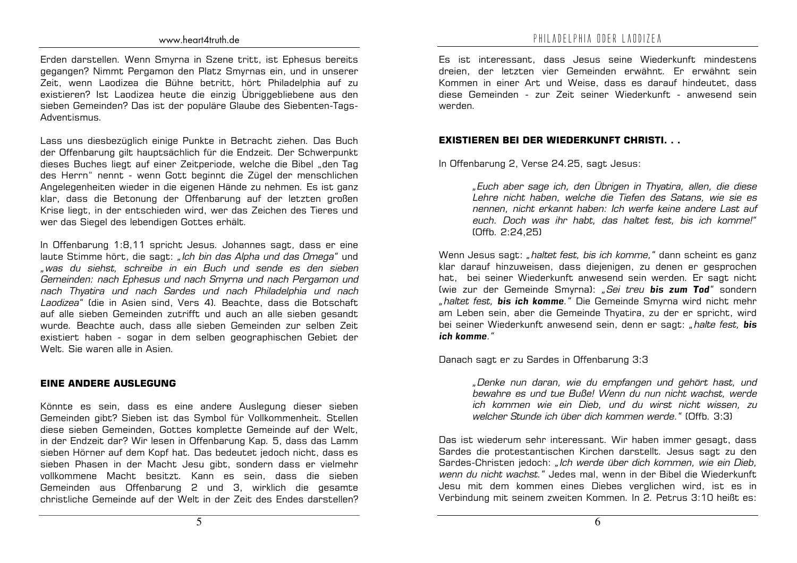Erden darstellen. Wenn Smyrna in Szene tritt, ist Ephesus bereits gegangen? Nimmt Pergamon den Platz Smyrnas ein, und in unserer Zeit, wenn Laodizea die Bühne betritt, hört Philadelphia auf zu existieren? Ist Laodizea heute die einzig Übriggebliebene aus den sieben Gemeinden? Das ist der populäre Glaube des Siebenten-Tags-Adventismus.

Lass uns diesbezüglich einige Punkte in Betracht ziehen. Das Buch der Offenbarung gilt hauptsächlich für die Endzeit. Der Schwerpunkt dieses Buches liegt auf einer Zeitperiode, welche die Bibel "den Tag des Herrn" nennt - wenn Gott beginnt die Zügel der menschlichen Angelegenheiten wieder in die eigenen Hände zu nehmen. Es ist ganz klar, dass die Betonung der Offenbarung auf der letzten großen Krise liegt, in der entschieden wird, wer das Zeichen des Tieres und wer das Siegel des lebendigen Gottes erhält.

In Offenbarung 1:8,11 spricht Jesus. Johannes sagt, dass er eine laute Stimme hört, die sagt: "Ich bin das Alpha und das Omega" und "was du siehst, schreibe in ein Buch und sende es den sieben Gemeinden: nach Ephesus und nach Smyrna und nach Pergamon und nach Thyatira und nach Sardes und nach Philadelphia und nach Laodizea" (die in Asien sind, Vers 4). Beachte, dass die Botschaft auf alle sieben Gemeinden zutrifft und auch an alle sieben gesandt wurde. Beachte auch, dass alle sieben Gemeinden zur selben Zeit existiert haben - sogar in dem selben geographischen Gebiet der Welt. Sie waren alle in Asien.

#### **EINE ANDERE AUSLEGUNG**

Könnte es sein, dass es eine andere Auslegung dieser sieben Gemeinden gibt? Sieben ist das Symbol für Vollkommenheit. Stellen diese sieben Gemeinden, Gottes komplette Gemeinde auf der Welt, in der Endzeit dar? Wir lesen in Offenbarung Kap. 5. dass das Lamm sieben Hörner auf dem Kopf hat. Das bedeutet jedoch nicht, dass es sieben Phasen in der Macht Jesu gibt, sondern dass er vielmehr vollkommene Macht besitzt. Kann es sein, dass die sieben Gemeinden aus Offenbarung 2 und 3. wirklich die gesamte christliche Gemeinde auf der Welt in der Zeit des Endes darstellen?

Es ist interessant, dass Jesus seine Wiederkunft mindestens dreien, der letzten vier Gemeinden erwähnt. Er erwähnt sein Kommen in einer Art und Weise, dass es darauf hindeutet, dass diese Gemeinden - zur Zeit seiner Wiederkunft - anwesend sein werden

#### **EXISTIEREN BEI DER WIEDERKUNFT CHRISTI...**

In Offenbarung 2, Verse 24.25, sagt Jesus:

"Euch aber sage ich, den Übrigen in Thyatira, allen, die diese Lehre nicht haben, welche die Tiefen des Satans, wie sie es nennen, nicht erkannt haben: Ich werfe keine andere Last auf euch. Doch was ihr habt, das haltet fest, bis ich komme!" (Offb. 2:24.25)

Wenn Jesus sagt: "haltet fest, bis ich komme," dann scheint es ganz klar darauf hinzuweisen, dass diejenigen, zu denen er gesprochen hat, bei seiner Wiederkunft anwesend sein werden. Er sagt nicht (wie zur der Gemeinde Smyrna): "Sei treu bis zum Tod" sondern "haltet fest. bis ich komme." Die Gemeinde Smyrna wird nicht mehr am Leben sein, aber die Gemeinde Thyatira, zu der er spricht, wird bei seiner Wiederkunft anwesend sein, denn er sagt; "halte fest, bis ich komme"

Danach sagt er zu Sardes in Offenbarung 3:3

"Denke nun daran, wie du empfangen und gehört hast, und bewahre es und tue Buße! Wenn du nun nicht wachst, werde ich kommen wie ein Dieb, und du wirst nicht wissen, zu welcher Stunde ich über dich kommen werde " (Offb. 3:3)

Das ist wiederum sehr interessant. Wir haben immer gesagt, dass Sardes die protestantischen Kirchen darstellt. Jesus sagt zu den Sardes-Christen jedoch: "Ich werde über dich kommen, wie ein Dieb, wenn du nicht wachst." Jedes mal, wenn in der Bibel die Wiederkunft Jesu mit dem kommen eines Diebes verglichen wird, ist es in Verbindung mit seinem zweiten Kommen. In 2. Petrus 3:10 heißt es: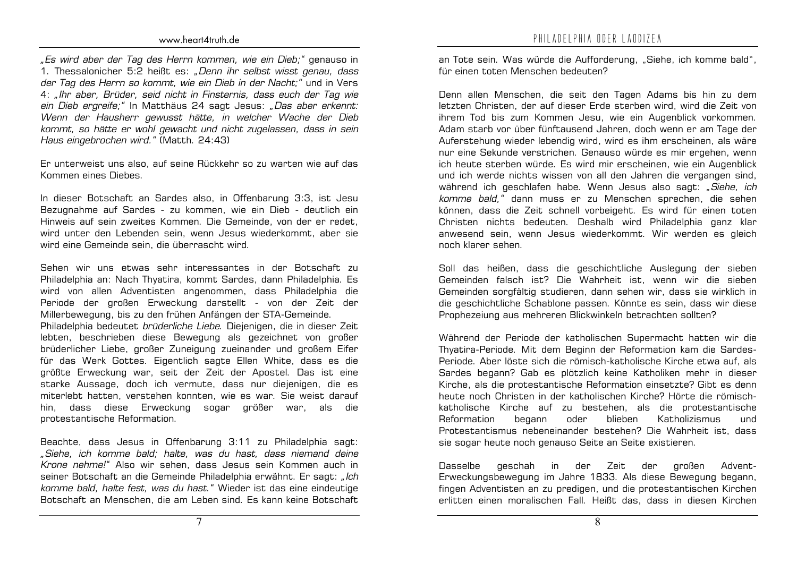"Es wird aber der Tag des Herrn kommen, wie ein Dieb;" genauso in 1. Thessalonicher 5:2 heißt es: "Denn ihr selbst wisst genau, dass der Tag des Herrn so kommt, wie ein Dieb in der Nacht;" und in Vers 4; "Ihr aber, Brüder, seid nicht in Finsternis, dass euch der Tag wie ein Dieb ergreife;" In Matthäus 24 sagt Jesus: "Das aber erkennt: Wenn der Hausherr gewusst hätte, in welcher Wache der Dieb kommt, so hätte er wohl gewacht und nicht zugelassen, dass in sein Haus eingebrochen wird." (Matth. 24:43)

Er unterweist uns also, auf seine Rückkehr so zu warten wie auf das Kommen eines Diebes.

In dieser Botschaft an Sardes also, in Offenbarung 3:3, ist Jesu Bezugnahme auf Sardes - zu kommen, wie ein Dieb - deutlich ein Hinweis auf sein zweites Kommen. Die Gemeinde, von der er redet, wird unter den Lebenden sein, wenn Jesus wiederkommt, aber sie wird eine Gemeinde sein, die überrascht wird.

Sehen wir uns etwas sehr interessantes in der Botschaft zu Philadelphia an: Nach Thyatira, kommt Sardes, dann Philadelphia. Es wird von allen Adventisten angenommen, dass Philadelphia die Periode der großen Erweckung darstellt - von der Zeit der Millerbewegung, bis zu den frühen Anfängen der STA-Gemeinde. Philadelphia bedeutet brüderliche Liebe. Diejenigen, die in dieser Zeit lebten, beschrieben diese Bewegung als gezeichnet von großer brüderlicher Liebe, großer Zuneigung zueinander und großem Eifer für das Werk Gottes. Eigentlich sagte Ellen White, dass es die größte Erweckung war, seit der Zeit der Apostel. Das ist eine starke Aussage, doch ich vermute, dass nur diejenigen, die es miterlebt hatten, verstehen konnten, wie es war. Sie weist darauf hin, dass diese Erweckung sogar größer war, als die protestantische Reformation.

Beachte, dass Jesus in Offenbarung 3:11 zu Philadelphia sagt: "Siehe, ich komme bald; halte, was du hast, dass niemand deine Krone nehme!" Also wir sehen, dass Jesus sein Kommen auch in seiner Botschaft an die Gemeinde Philadelphia erwähnt. Er sagt: "Ich komme bald, halte fest, was du hast." Wieder ist das eine eindeutige Botschaft an Menschen, die am Leben sind. Es kann keine Botschaft an Tote sein. Was würde die Aufforderung. "Siehe, ich komme bald". für einen toten Menschen bedeuten?

Denn allen Menschen, die seit den Tagen Adams bis hin zu dem letzten Christen, der auf dieser Erde sterben wird, wird die Zeit von ihrem Tod bis zum Kommen Jesu, wie ein Augenblick vorkommen. Adam starb vor über fünftausend Jahren, doch wenn er am Tage der Auferstehung wieder lebendig wird, wird es ihm erscheinen, als wäre nur eine Sekunde verstrichen. Genauso würde es mir ergehen, wenn ich heute sterben würde. Es wird mir erscheinen, wie ein Augenblick und ich werde nichts wissen von all den Jahren die vergangen sind, während ich geschlafen habe. Wenn Jesus also sagt: "Siehe, ich komme bald," dann muss er zu Menschen sprechen, die sehen können, dass die Zeit schnell vorbeigeht. Es wird für einen toten Christen nichts bedeuten. Deshalb wird Philadelphia ganz klar anwesend sein, wenn Jesus wiederkommt. Wir werden es gleich noch klarer sehen.

Soll das heißen, dass die geschichtliche Auslegung der sieben Gemeinden falsch ist? Die Wahrheit ist, wenn wir die sieben Gemeinden sorgfältig studieren, dann sehen wir, dass sie wirklich in die geschichtliche Schablone passen. Könnte es sein, dass wir diese Prophezeiung aus mehreren Blickwinkeln betrachten sollten?

Während der Periode der katholischen Supermacht hatten wir die Thyatira-Periode. Mit dem Beginn der Reformation kam die Sardes-Periode. Aber löste sich die römisch-katholische Kirche etwa auf, als Sardes begann? Gab es plötzlich keine Katholiken mehr in dieser Kirche, als die protestantische Reformation einsetzte? Gibt es denn heute noch Christen in der katholischen Kirche? Hörte die römischkatholische Kirche auf zu bestehen, als die protestantische Reformation begann oder blieben Katholizismus und Protestantismus nebeneinander bestehen? Die Wahrheit ist, dass sie sogar heute noch genauso Seite an Seite existieren.

**Dasselbe** geschah in der Zeit der großen Advent-Erweckungsbewegung im Jahre 1833. Als diese Bewegung begann, fingen Adventisten an zu predigen, und die protestantischen Kirchen erlitten einen moralischen Fall. Heißt das, dass in diesen Kirchen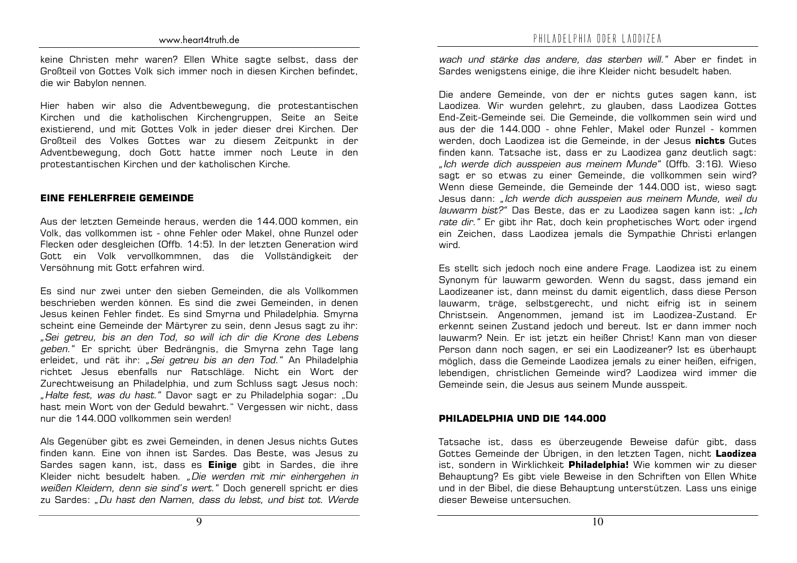keine Christen mehr waren? Ellen White sagte selbst, dass der Großteil von Gottes Volk sich immer noch in diesen Kirchen hefindet. die wir Babylon nennen.

Hier haben wir also die Adventbewegung, die protestantischen Kirchen und die katholischen Kirchengruppen, Seite an Seite existierend, und mit Gottes Volk in jeder dieser drei Kirchen. Der Großteil des Volkes Gottes war zu diesem Zeitpunkt in der Adventbewegung, doch Gott hatte immer noch Leute in den protestantischen Kirchen und der katholischen Kirche.

#### **EINE FEHLERFREIE GEMEINDE**

Aus der letzten Gemeinde heraus, werden die 144.000 kommen, ein Volk, das vollkommen ist - ohne Fehler oder Makel, ohne Runzel oder Flecken oder desgleichen (Offb. 14:5). In der letzten Generation wird Gott ein Volk vervollkommnen, das die Vollständigkeit der Versöhnung mit Gott erfahren wird.

Es sind nur zwei unter den sieben Gemeinden. die als Vollkommen beschrieben werden können. Es sind die zwei Gemeinden, in denen Jesus keinen Fehler findet. Es sind Smyrna und Philadelphia. Smyrna scheint eine Gemeinde der Märtyrer zu sein, denn Jesus sagt zu ihr: "Sei getreu, bis an den Tod, so will ich dir die Krone des Lebens geben." Er spricht über Bedrängnis, die Smyrna zehn Tage lang erleidet, und rät ihr: "Sei getreu bis an den Tod." An Philadelphia richtet Jesus ebenfalls nur Ratschläge. Nicht ein Wort der Zurechtweisung an Philadelphia, und zum Schluss sagt Jesus noch: "Halte fest, was du hast." Davor sagt er zu Philadelphia sogar: "Du hast mein Wort von der Geduld bewahrt." Vergessen wir nicht, dass nur die 144.000 vollkommen sein werden!

Als Gegenüber gibt es zwei Gemeinden, in denen Jesus nichts Gutes finden kann. Eine von ihnen ist Sardes. Das Beste, was Jesus zu Sardes sagen kann, ist, dass es **Einige** gibt in Sardes, die ihre Kleider nicht besudelt haben. "Die werden mit mir einhergehen in weißen Kleidern, denn sie sind's wert." Doch generell spricht er dies zu Sardes: "Du hast den Namen, dass du lebst, und bist tot. Werde PHILADELPHIA ODER LAODIZEA

wach und stärke das andere, das sterben will." Aber er findet in Sardes wenigstens einige, die ihre Kleider nicht besudelt haben.

Die andere Gemeinde, von der er nichts gutes sagen kann, ist Laodizea. Wir wurden gelehrt, zu glauben, dass Laodizea Gottes End-Zeit-Gemeinde sei. Die Gemeinde, die vollkommen sein wird und aus der die 144.000 - ohne Fehler. Makel oder Runzel - kommen werden, doch Laodizea ist die Gemeinde, in der Jesus nichts Gutes finden kann. Tatsache ist, dass er zu Laodizea ganz deutlich sagt; "Ich werde dich ausspeien aus meinem Munde" (Offb. 3:16). Wieso sagt er so etwas zu einer Gemeinde, die vollkommen sein wird? Wenn diese Gemeinde, die Gemeinde der 144.000 ist, wieso sagt Jesus dann: "Ich werde dich ausspeien aus meinem Munde, weil du lauwarm bist?" Das Beste, das er zu Laodizea sagen kann ist: "Ich rate dir." Er gibt ihr Rat, doch kein prophetisches Wort oder irgend ein Zeichen, dass Laodizea jemals die Sympathie Christi erlangen wird.

Es stellt sich jedoch noch eine andere Frage. Laodizea ist zu einem Synonym für lauwarm geworden. Wenn du sagst, dass jemand ein Laodizeaner ist, dann meinst du damit eigentlich, dass diese Person lauwarm, träge, selbstgerecht, und nicht eifrig ist in seinem Christsein. Angenommen, jemand ist im Laodizea-Zustand. Er erkennt seinen Zustand jedoch und bereut. Ist er dann immer noch lauwarm? Nein. Er ist jetzt ein heißer Christ! Kann man von dieser Person dann noch sagen, er sei ein Laodizeaner? Ist es überhaupt möglich, dass die Gemeinde Laodizea jemals zu einer heißen, eifrigen, lebendigen, christlichen Gemeinde wird? Laodizea wird immer die Gemeinde sein, die Jesus aus seinem Munde ausspeit.

#### PHILADELPHIA UND DIE 144.000

Tatsache ist, dass es überzeugende Beweise dafür gibt, dass Gottes Gemeinde der Übrigen, in den letzten Tagen, nicht Laodizea ist, sondern in Wirklichkeit Philadelphia! Wie kommen wir zu dieser Behauptung? Es gibt viele Beweise in den Schriften von Ellen White und in der Bibel, die diese Behauptung unterstützen. Lass uns einige dieser Beweise untersuchen.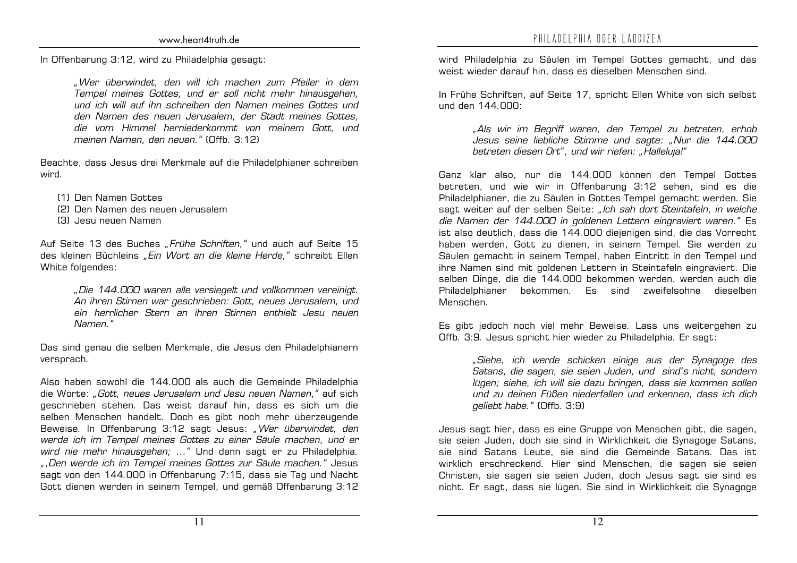In Offenbarung 3:12, wird zu Philadelphia gesagt:

"Wer überwindet, den will ich machen zum Pfeiler in dem Tempel meines Gottes, und er soll nicht mehr hinausgehen, und ich will auf ihn schreiben den Namen meines Gottes und den Namen des neuen Jerusalem, der Stadt meines Gottes. die vom Himmel herniederkommt von meinem Gott, und meinen Namen, den neuen." (Offb. 3:12)

Beachte, dass Jesus drei Merkmale auf die Philadelphianer schreiben wird.

- [1] Den Namen Gottes
- (2) Den Namen des neuen Jerusalem
- (3) Jesu neuen Namen

Auf Seite 13 des Buches "Frühe Schriften," und auch auf Seite 15 des kleinen Büchleins "Ein Wort an die kleine Herde," schreibt Ellen White folgendes:

> "Die 144.000 waren alle versiegelt und vollkommen vereinigt. An ihren Stirnen war geschrieben: Gott, neues Jerusalem, und ein herrlicher Stern an ihren Stirnen enthielt, Jesu neuen Namen."

Das sind genau die selben Merkmale, die Jesus den Philadelphianern versprach.

Also haben sowohl die 144.000 als auch die Gemeinde Philadelphia die Worte: "Gott, neues Jerusalem und Jesu neuen Namen," auf sich geschrieben stehen. Das weist darauf hin, dass es sich um die selben Menschen handelt. Doch es gibt noch mehr überzeugende Beweise. In Offenbarung 3:12 sagt Jesus: "Wer überwindet, den werde ich im Tempel meines Gottes zu einer Säule machen, und er wird nie mehr hinausgehen; ... " Und dann sagt er zu Philadelphia. ", Den werde ich im Tempel meines Gottes zur Säule machen." Jesus sagt von den 144.000 in Offenbarung 7:15, dass sie Tag und Nacht Gott dienen werden in seinem Tempel, und gemäß Offenbarung 3:12 wird Philadelphia zu Säulen im Tempel Gottes gemacht, und das weist wieder darauf hin, dass es dieselben Menschen sind.

In Frühe Schriften, auf Seite 17, spricht Ellen White von sich selbst und den  $144$   $000$ 

> "Als wir im Begriff waren, den Tempel zu betreten, erhob Jesus seine liebliche Stimme und sagte: "Nur die 144.000 betreten diesen Ort", und wir riefen: "Halleluja!"

Ganz klar also, nur die 144.000 können den Tempel Gottes betreten, und wie wir in Offenbarung 3:12 sehen, sind es die Philadelphianer, die zu Säulen in Gottes Tempel gemacht werden. Sie sagt weiter auf der selben Seite: "Ich sah dort Steintafeln, in welche die Namen der 144.000 in goldenen Lettern eingraviert waren." Es ist also deutlich, dass die 144.000 diejenigen sind, die das Vorrecht haben werden, Gott zu dienen, in seinem Tempel. Sie werden zu Säulen gemacht in seinem Tempel, haben Eintritt in den Tempel und ihre Namen sind mit goldenen Lettern in Steintafeln eingraviert. Die selben Dinge, die die 144.000 bekommen werden, werden auch die Philadelphianer bekommen. Es sind zweifelschne dieselben Menschen

Es gibt jedoch noch viel mehr Beweise. Lass uns weitergehen zu Offb. 3:9. Jesus spricht hier wieder zu Philadelphia. Er sagt:

> "Siehe, ich werde schicken einige aus der Synagoge des Satans, die sagen, sie seien Juden, und sind's nicht, sondern lügen; siehe, ich will sie dazu bringen, dass sie kommen sollen und zu deinen Füßen niederfallen und erkennen, dass ich dich geliebt habe." (Offb. 3:9)

Jesus sagt hier, dass es eine Gruppe von Menschen gibt, die sagen, sie seien Juden, doch sie sind in Wirklichkeit die Synagoge Satans. sie sind Satans Leute, sie sind die Gemeinde Satans. Das ist wirklich erschreckend. Hier sind Menschen, die sagen sie seien Christen, sie sagen sie seien Juden, doch Jesus sagt sie sind es nicht. Er sagt, dass sie lügen. Sie sind in Wirklichkeit die Synagoge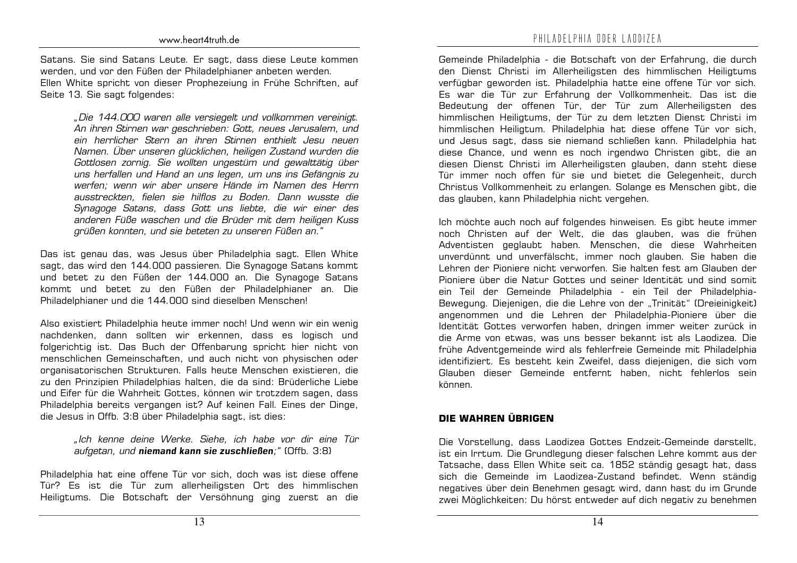Satans. Sie sind Satans Leute. Er sagt, dass diese Leute kommen werden, und vor den Füßen der Philadelphianer anbeten werden. Ellen White spricht von dieser Prophezeiung in Frühe Schriften, auf Seite 13. Sie sagt folgendes:

> "Die 144.000 waren alle versiegelt und vollkommen vereinigt. An ihren Stirnen war geschrieben: Gott, neues Jerusalem, und ein herrlicher Stern an ihren Stirnen enthielt Jesu neuen Namen. Über unseren glücklichen, heiligen Zustand wurden die Gottlosen zornig. Sie wollten ungestüm und gewalttätig über uns herfallen und Hand an uns legen, um uns ins Gefängnis zu werfen: wenn wir aber unsere Hände im Namen des Herrn ausstreckten, fielen sie hilflos zu Boden. Dann wusste die Synagoge Satans, dass Gott uns liebte, die wir einer des anderen Füße waschen und die Brüder mit dem heiligen Kuss grüßen konnten, und sie beteten zu unseren Füßen an."

Das ist genau das, was Jesus über Philadelphia sagt. Ellen White sagt, das wird den 144.000 passieren. Die Synagoge Satans kommt und betet zu den Füßen der 144.000 an. Die Synagoge Satans kommt und betet zu den Füßen der Philadelphianer an. Die Philadelphianer und die 144.000 sind dieselben Menschen!

Also existiert Philadelphia heute immer noch! Und wenn wir ein wenig nachdenken, dann sollten wir erkennen, dass es logisch und folgerichtig ist. Das Buch der Offenbarung spricht hier nicht von menschlichen Gemeinschaften, und auch nicht von physischen oder organisatorischen Strukturen. Falls heute Menschen existieren, die zu den Prinzipien Philadelphias halten, die da sind: Brüderliche Liebe und Eifer für die Wahrheit Gottes, können wir trotzdem sagen, dass Philadelphia bereits vergangen ist? Auf keinen Fall. Eines der Dinge, die Jesus in Offb. 3:8 über Philadelphia sagt, ist dies:

"Ich kenne deine Werke. Siehe, ich habe vor dir eine Tür aufgetan, und niemand kann sie zuschließen;" (Offb. 3:8)

Philadelphia hat eine offene Tür vor sich, doch was ist diese offene Tür? Es ist die Tür zum allerheiligsten Ort des himmlischen Heiligtums. Die Botschaft der Versöhnung ging zuerst an die Gemeinde Philadelphia - die Botschaft von der Erfahrung, die durch den Dienst Christi im Allerheiligsten des himmlischen Heiligtums verfügbar geworden ist. Philadelphia hatte eine offene Tür vor sich. Es war die Tür zur Erfahrung der Vollkommenheit. Das ist die Bedeutung der offenen Tür, der Tür zum Allerheiligsten des himmlischen Heiligtums, der Tür zu dem letzten Dienst Christi im himmlischen Heiligtum. Philadelphia hat diese offene Tür vor sich, und Jesus sagt, dass sie niemand schließen kann. Philadelphia hat diese Chance, und wenn es noch irgendwo Christen gibt, die an diesen Dienst Christi im Allerheiligsten glauben, dann steht diese Tür immer noch offen für sie und bietet die Gelegenheit, durch Christus Vollkommenheit zu erlangen. Solange es Menschen gibt, die das glauben, kann Philadelphia nicht vergehen.

Ich möchte auch noch auf folgendes hinweisen. Es gibt heute immer noch Christen auf der Welt, die das glauben, was die frühen Adventisten geglaubt haben. Menschen, die diese Wahrheiten unverdünnt und unverfälscht, immer noch glauben. Sie haben die Lehren der Pioniere nicht verworfen. Sie halten fest am Glauben der Pioniere über die Natur Gottes und seiner Identität und sind somit ein Teil der Gemeinde Philadelphia - ein Teil der Philadelphia-Bewegung. Diejenigen, die die Lehre von der "Trinität" (Dreieinigkeit) angenommen und die Lehren der Philadelphia-Pioniere über die Identität Gottes verworfen haben, dringen immer weiter zurück in die Arme von etwas, was uns besser bekannt ist als Laodizea. Die frühe Adventgemeinde wird als fehlerfreie Gemeinde mit Philadelphia identifiziert. Es besteht kein Zweifel, dass diejenigen, die sich vom Glauben dieser Gemeinde entfernt haben, nicht fehlerlos sein können.

#### DIE WAHREN ÜBRIGEN

Die Vorstellung, dass Laodizea Gottes Endzeit-Gemeinde darstellt, ist ein Irrtum. Die Grundlegung dieser falschen Lehre kommt aus der Tatsache, dass Ellen White seit ca. 1852 ständig gesagt hat, dass sich die Gemeinde im Laodizea-Zustand befindet. Wenn ständig negatives über dein Benehmen gesagt wird, dann hast du im Grunde zwei Möglichkeiten: Du hörst entweder auf dich negativ zu benehmen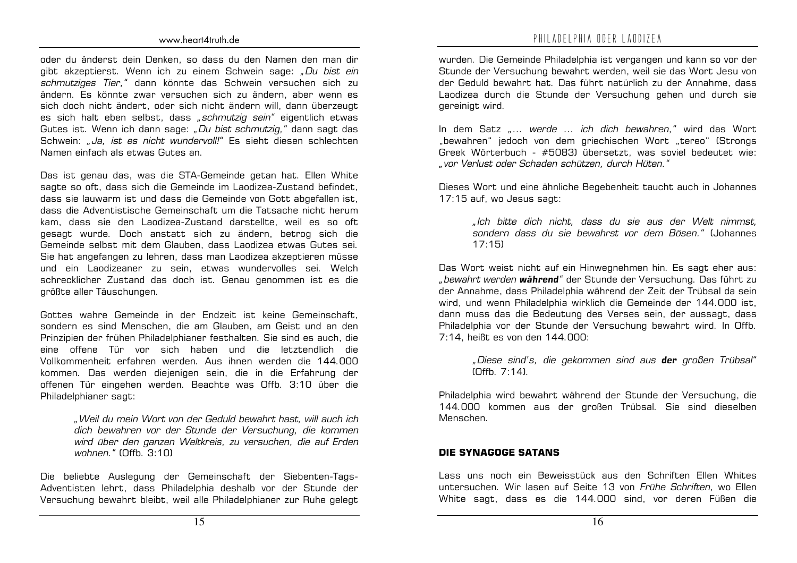oder du änderst dein Denken, so dass du den Namen den man dir gibt akzeptierst. Wenn ich zu einem Schwein sage: "Du bist ein schmutziges Tier," dann könnte das Schwein versuchen sich zu ändern. Es könnte zwar versuchen sich zu ändern, aber wenn es sich doch nicht ändert, oder sich nicht ändern will, dann überzeugt es sich halt eben selbst, dass "schmutzig sein" eigentlich etwas Gutes ist. Wenn ich dann sage: "Du bist schmutzig," dann sagt das Schwein: "Ja. ist es nicht wundervoll!" Es sieht diesen schlechten Namen einfach als etwas Gutes an.

Das ist genau das, was die STA-Gemeinde getan hat. Ellen White sagte so oft, dass sich die Gemeinde im Laodizea-Zustand befindet, dass sie lauwarm ist und dass die Gemeinde von Gott abgefallen ist. dass die Adventistische Gemeinschaft um die Tatsache nicht herum kam, dass sie den Laodizea-Zustand darstellte, weil es so oft gesagt wurde. Doch anstatt sich zu ändern, betrog sich die Gemeinde selbst mit dem Glauben, dass Laodizea etwas Gutes sei. Sie hat angefangen zu lehren, dass man Laodizea akzeptieren müsse und ein Laodizeaner zu sein, etwas wundervolles sei. Welch schrecklicher Zustand das doch ist. Genau genommen ist es die größte aller Täuschungen.

Gottes wahre Gemeinde in der Endzeit ist keine Gemeinschaft. sondern es sind Menschen, die am Glauben, am Geist und an den Prinzipien der frühen Philadelphianer festhalten. Sie sind es auch, die eine offene Tür vor sich haben und die letztendlich die Vollkommenheit erfahren werden. Aus ihnen werden die 144.000 kommen. Das werden diejenigen sein, die in die Erfahrung der offenen Tür eingehen werden. Beachte was Offb. 3:10 über die Philadelphianer sagt:

> "Weil du mein Wort von der Geduld bewahrt hast, will auch ich dich bewahren vor der Stunde der Versuchung, die kommen wird über den ganzen Weltkreis, zu versuchen, die auf Erden wohnen." (Offb. 3:10)

Die beliebte Auslegung der Gemeinschaft der Siebenten-Tags-Adventisten lehrt, dass Philadelphia deshalb vor der Stunde der Versuchung bewahrt bleibt, weil alle Philadelphianer zur Ruhe gelegt wurden. Die Gemeinde Philadelphia ist vergangen und kann so vor der Stunde der Versuchung bewahrt werden, weil sie das Wort Jesu von der Geduld bewahrt hat. Das führt natürlich zu der Annahme, dass Laodizea durch die Stunde der Versuchung gehen und durch sie gereinigt wird.

In dem Satz "... werde ... ich dich bewahren," wird das Wort "bewahren" jedoch von dem griechischen Wort "tereo" (Strongs Greek Wörterbuch - #5083) übersetzt, was soviel bedeutet wie: "vor Verlust oder Schaden schützen, durch Hüten."

Dieses Wort und eine ähnliche Begebenheit taucht auch in Johannes 17:15 auf, wo Jesus sagt:

"Ich bitte dich nicht, dass du sie aus der Welt nimmst, sondern dass du sie bewahrst vor dem Bösen "Juhannes  $17:151$ 

Das Wort weist nicht auf ein Hinwegnehmen hin. Es sagt eher aus: "bewahrt werden während" der Stunde der Versuchung. Das führt zu der Annahme, dass Philadelphia während der Zeit der Trübsal da sein wird, und wenn Philadelphia wirklich die Gemeinde der 144.000 ist. dann muss das die Bedeutung des Verses sein, der aussagt, dass Philadelphia vor der Stunde der Versuchung bewahrt wird. In Offb. 7:14, heißt es von den 144.000:

"Diese sind's, die gekommen sind aus der großen Trübsal"  $[$ Offh  $7.14]$ 

Philadelphia wird bewahrt während der Stunde der Versuchung, die 144.000 kommen aus der großen Trübsal. Sie sind dieselben Menschen.

#### DIE SYNAGOGE SATANS

Lass uns noch ein Beweisstück aus den Schriften Ellen Whites untersuchen. Wir lasen auf Seite 13 von Frühe Schriften, wo Ellen White sagt, dass es die 144.000 sind, vor deren Füßen die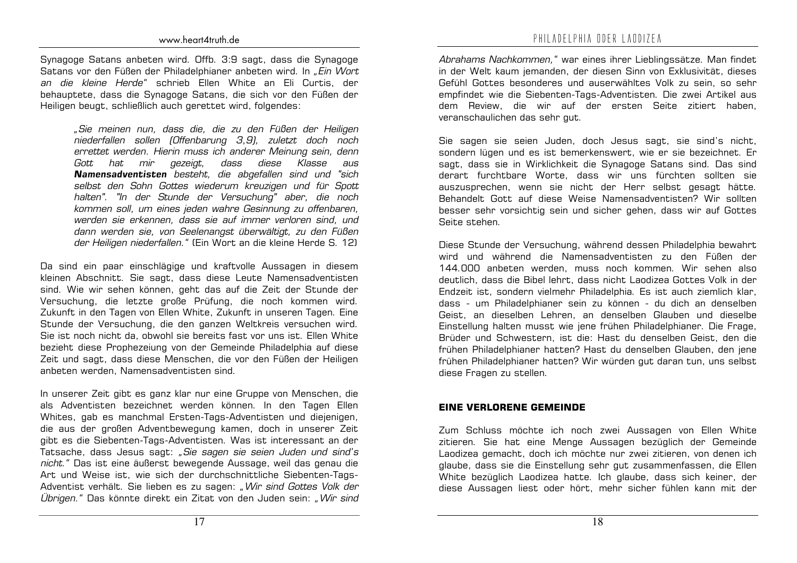Synagoge Satans anbeten wird. Offb. 3:9 sagt, dass die Synagoge Satans vor den Füßen der Philadelphianer anbeten wird. In "Ein Wort an die kleine Herde" schrieb Ellen White an Eli Curtis, der behauptete, dass die Synagoge Satans, die sich vor den Füßen der Heiligen beugt, schließlich auch gerettet wird, folgendes:

> "Sie meinen nun, dass die, die zu den Füßen der Heiligen niederfallen sollen (Offenbarung 3,9), zuletzt doch noch errettet werden. Hierin muss ich anderer Meinung sein, denn Gott hat mir gezeigt, dass diese Klasse aus Namensadventisten besteht, die abgefallen sind und "sich selbst den Sohn Gottes wiederum kreuzigen und für Spott halten". "In der Stunde der Versuchung" aber, die noch kommen soll, um eines jeden wahre Gesinnung zu offenbaren, werden sie erkennen, dass sie auf immer verloren sind, und dann werden sie, von Seelenangst überwältigt, zu den Füßen der Heiligen niederfallen." (Ein Wort an die kleine Herde S. 12)

Da sind ein paar einschlägige und kraftvolle Aussagen in diesem kleinen Abschnitt. Sie sagt, dass diese Leute Namensadventisten sind. Wie wir sehen können, geht das auf die Zeit der Stunde der Versuchung, die letzte große Prüfung, die noch kommen wird. Zukunft in den Tagen von Ellen White, Zukunft in unseren Tagen. Eine Stunde der Versuchung, die den ganzen Weltkreis versuchen wird. Sie ist noch nicht da, obwohl sie bereits fast vor uns ist. Ellen White bezieht diese Prophezeiung von der Gemeinde Philadelphia auf diese Zeit und sagt, dass diese Menschen, die vor den Füßen der Heiligen anbeten werden. Namensadventisten sind.

In unserer Zeit gibt es ganz klar nur eine Gruppe von Menschen, die als Adventisten bezeichnet werden können. In den Tagen Ellen Whites, gab es manchmal Ersten-Tags-Adventisten und diejenigen, die aus der großen Adventbewegung kamen, doch in unserer Zeit gibt es die Siebenten-Tags-Adventisten. Was ist interessant an der Tatsache, dass Jesus sagt: "Sie sagen sie seien Juden und sind's nicht." Das ist eine äußerst bewegende Aussage, weil das genau die Art und Weise ist, wie sich der durchschnittliche Siebenten-Tags-Adventist verhält. Sie lieben es zu sagen: "Wir sind Gottes Volk der Übrigen." Das könnte direkt ein Zitat von den Juden sein: "Wir sind

Abrahams Nachkommen," war eines ihrer Lieblingssätze. Man findet in der Welt kaum jemanden, der diesen Sinn von Exklusivität, dieses Gefühl Gottes besonderes und auserwähltes Volk zu sein, so sehr empfindet wie die Siebenten-Tags-Adventisten. Die zwei Artikel aus dem Review. die wir auf der ersten Seite zitiert haben, veranschaulichen das sehr gut.

Sie sagen sie seien Juden, doch Jesus sagt, sie sind's nicht, sondern lügen und es ist bemerkenswert, wie er sie bezeichnet. Er sagt, dass sie in Wirklichkeit die Synagoge Satans sind. Das sind derart furchtbare Worte, dass wir uns fürchten sollten sie auszusprechen, wenn sie nicht der Herr selbst gesagt hätte. Behandelt Gott auf diese Weise Namensadventisten? Wir sollten besser sehr vorsichtig sein und sicher gehen, dass wir auf Gottes Seite stehen.

Diese Stunde der Versuchung, während dessen Philadelphia bewahrt wird und während die Namensadventisten zu den Füßen der 144,000 anbeten werden, muss noch kommen. Wir sehen also deutlich, dass die Bibel lehrt, dass nicht Laodizea Gottes Volk in der Endzeit ist, sondern vielmehr Philadelphia. Es ist auch ziemlich klar. dass - um Philadelphianer sein zu können - du dich an denselben Geist, an dieselben Lehren, an denselben Glauben und dieselbe Einstellung halten musst wie jene frühen Philadelphianer. Die Frage, Brüder und Schwestern, ist die: Hast du denselben Geist, den die frühen Philadelphianer hatten? Hast du denselben Glauben, den iene frühen Philadelphianer hatten? Wir würden gut daran tun, uns selbst diese Fragen zu stellen.

#### **EINE VERLORENE GEMEINDE**

Zum Schluss möchte ich noch zwei Aussagen von Ellen White zitieren. Sie hat eine Menge Aussagen bezüglich der Gemeinde Laodizea gemacht, doch ich möchte nur zwei zitieren, von denen ich glaube, dass sie die Einstellung sehr gut zusammenfassen, die Ellen White bezüglich Laodizea hatte. Ich glaube, dass sich keiner, der diese Aussagen liest oder hört, mehr sicher fühlen kann mit der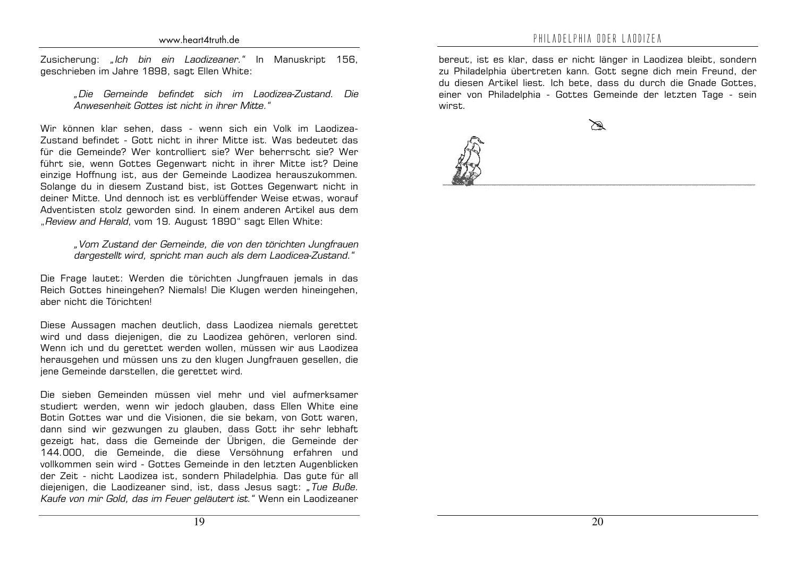Zusicherung: "Ich bin ein Laodizeaner." In Manuskript 156, geschrieben im Jahre 1898, sagt Ellen White:

#### "Die Gemeinde befindet sich im Landizea-Zustand, Die Anwesenheit Gottes ist nicht in ihrer Mitte."

Wir können klar sehen, dass - wenn sich ein Volk im Laodizea-Zustand befindet - Gott nicht in ihrer Mitte ist. Was bedeutet das für die Gemeinde? Wer kontrolliert sie? Wer beherrscht sie? Wer führt sie, wenn Gottes Gegenwart nicht in ihrer Mitte ist? Deine einzige Hoffnung ist, aus der Gemeinde Laodizea herauszukommen. Solange du in diesem Zustand bist, ist Gottes Gegenwart nicht in deiner Mitte. Und dennoch ist es verblüffender Weise etwas, worauf Adventisten stolz geworden sind. In einem anderen Artikel aus dem "Review and Herald, vom 19. August 1890" sagt Ellen White:

#### "Vom Zustand der Gemeinde, die von den törichten Jungfrauen dargestellt wird, spricht man auch als dem Laodicea-Zustand."

Die Frage lautet: Werden die törichten Jungfrauen jemals in das Reich Gottes hineingehen? Niemals! Die Klugen werden hineingehen, aber nicht, die Törichten!

Diese Aussagen machen deutlich, dass Laodizea niemals gerettet wird und dass diejenigen, die zu Laodizea gehören, verloren sind. Wenn ich und du gerettet werden wollen, müssen wir aus Laodizea herausgehen und müssen uns zu den klugen Jungfrauen gesellen, die jene Gemeinde darstellen, die gerettet wird.

Die sieben Gemeinden müssen viel mehr und viel aufmerksamer studiert werden, wenn wir jedoch glauben, dass Ellen White eine Botin Gottes war und die Visionen, die sie bekam, von Gott waren. dann sind wir gezwungen zu glauben, dass Gott ihr sehr lebhaft gezeigt hat, dass die Gemeinde der Übrigen, die Gemeinde der 144.000, die Gemeinde, die diese Versöhnung erfahren und vollkommen sein wird - Gottes Gemeinde in den letzten Augenblicken der Zeit - nicht Laodizea ist, sondern Philadelphia. Das gute für all diejenigen, die Laodizeaner sind, ist, dass Jesus sagt: "Tue Buße. Kaufe von mir Gold, das im Feuer geläutert ist." Wenn ein Laodizeaner

bereut, ist es klar, dass er nicht länger in Laodizea bleibt, sondern zu Philadelphia übertreten kann. Gott segne dich mein Freund, der du diesen Artikel liest. Ich bete, dass du durch die Gnade Gottes, einer von Philadelphia - Gottes Gemeinde der letzten Tage - sein wirst.